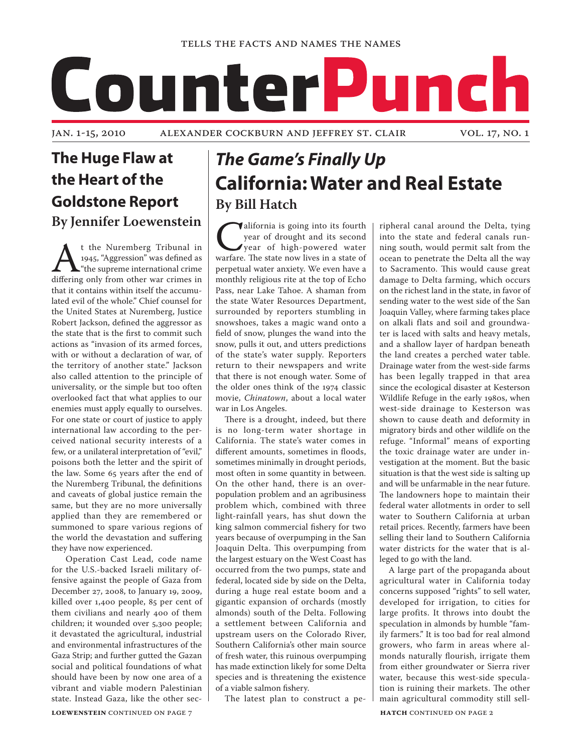

## **The Huge Flaw at the Heart of the Goldstone Report By Jennifer Loewenstein**

At the Nuremberg Tribunal in<br>
1945, "Aggression" was defined as<br>
differing only from other war crimes in 1945, "Aggression" was defined as "the supreme international crime that it contains within itself the accumulated evil of the whole." Chief counsel for the United States at Nuremberg, Justice Robert Jackson, defined the aggressor as the state that is the first to commit such actions as "invasion of its armed forces, with or without a declaration of war, of the territory of another state." Jackson also called attention to the principle of universality, or the simple but too often overlooked fact that what applies to our enemies must apply equally to ourselves. For one state or court of justice to apply international law according to the perceived national security interests of a few, or a unilateral interpretation of "evil," poisons both the letter and the spirit of the law. Some 65 years after the end of the Nuremberg Tribunal, the definitions and caveats of global justice remain the same, but they are no more universally applied than they are remembered or summoned to spare various regions of the world the devastation and suffering they have now experienced.

Operation Cast Lead, code name for the U.S.-backed Israeli military offensive against the people of Gaza from December 27, 2008, to January 19, 2009, killed over 1,400 people, 85 per cent of them civilians and nearly 400 of them children; it wounded over 5,300 people; it devastated the agricultural, industrial and environmental infrastructures of the Gaza Strip; and further gutted the Gazan social and political foundations of what should have been by now one area of a vibrant and viable modern Palestinian state. Instead Gaza, like the other sec-

**LOEWENSTEIN CONTINUED ON PAGE 7** 

# *The Game's Finally Up* **California: Water and Real Estate By Bill Hatch**

**California is going into its fourth**<br>
year of high-powered water<br>
warfare. The state now lives in a state of year of drought and its second year of high-powered water perpetual water anxiety. We even have a monthly religious rite at the top of Echo Pass, near Lake Tahoe. A shaman from the state Water Resources Department, surrounded by reporters stumbling in snowshoes, takes a magic wand onto a field of snow, plunges the wand into the snow, pulls it out, and utters predictions of the state's water supply. Reporters return to their newspapers and write that there is not enough water. Some of the older ones think of the 1974 classic movie, *Chinatown*, about a local water war in Los Angeles.

There is a drought, indeed, but there is no long-term water shortage in California. The state's water comes in different amounts, sometimes in floods, sometimes minimally in drought periods, most often in some quantity in between. On the other hand, there is an overpopulation problem and an agribusiness problem which, combined with three light-rainfall years, has shut down the king salmon commercial fishery for two years because of overpumping in the San Joaquin Delta. This overpumping from the largest estuary on the West Coast has occurred from the two pumps, state and federal, located side by side on the Delta, during a huge real estate boom and a gigantic expansion of orchards (mostly almonds) south of the Delta. Following a settlement between California and upstream users on the Colorado River, Southern California's other main source of fresh water, this ruinous overpumping has made extinction likely for some Delta species and is threatening the existence of a viable salmon fishery.

The latest plan to construct a pe-

ripheral canal around the Delta, tying into the state and federal canals running south, would permit salt from the ocean to penetrate the Delta all the way to Sacramento. This would cause great damage to Delta farming, which occurs on the richest land in the state, in favor of sending water to the west side of the San Joaquin Valley, where farming takes place on alkali flats and soil and groundwater is laced with salts and heavy metals, and a shallow layer of hardpan beneath the land creates a perched water table. Drainage water from the west-side farms has been legally trapped in that area since the ecological disaster at Kesterson Wildlife Refuge in the early 1980s, when west-side drainage to Kesterson was shown to cause death and deformity in migratory birds and other wildlife on the refuge. "Informal" means of exporting the toxic drainage water are under investigation at the moment. But the basic situation is that the west side is salting up and will be unfarmable in the near future. The landowners hope to maintain their federal water allotments in order to sell water to Southern California at urban retail prices. Recently, farmers have been selling their land to Southern California water districts for the water that is alleged to go with the land.

A large part of the propaganda about agricultural water in California today concerns supposed "rights" to sell water, developed for irrigation, to cities for large profits. It throws into doubt the speculation in almonds by humble "family farmers." It is too bad for real almond growers, who farm in areas where almonds naturally flourish, irrigate them from either groundwater or Sierra river water, because this west-side speculation is ruining their markets. The other main agricultural commodity still sell-

**HATCH CONTINUED ON PAGE 2**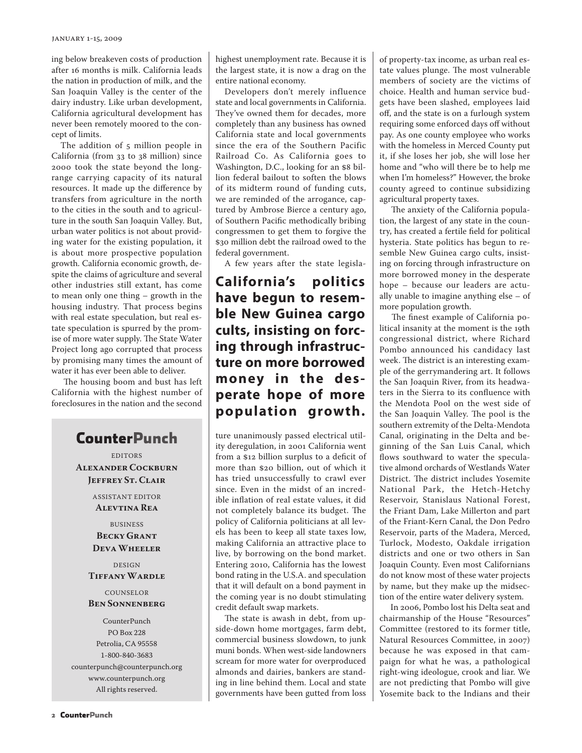ing below breakeven costs of production after 16 months is milk. California leads the nation in production of milk, and the San Joaquin Valley is the center of the dairy industry. Like urban development, California agricultural development has never been remotely moored to the concept of limits.

The addition of 5 million people in California (from 33 to 38 million) since 2000 took the state beyond the longrange carrying capacity of its natural resources. It made up the difference by transfers from agriculture in the north to the cities in the south and to agriculture in the south San Joaquin Valley. But, urban water politics is not about providing water for the existing population, it is about more prospective population growth. California economic growth, despite the claims of agriculture and several other industries still extant, has come to mean only one thing – growth in the housing industry. That process begins with real estate speculation, but real estate speculation is spurred by the promise of more water supply. The State Water Project long ago corrupted that process by promising many times the amount of water it has ever been able to deliver.

 The housing boom and bust has left California with the highest number of foreclosures in the nation and the second

## **CounterPunch**

EDITORS **Alexander Cockburn Jeffrey St. Clair**

> ASSISTANT EDITOR **Alevtina Rea**

BUSINESS **Becky Grant Deva Wheeler**

DESIGN **Tiffany Wardle**

#### COUNSELOR **Ben Sonnenberg**

CounterPunch PO Box 228 Petrolia, CA 95558 1-800-840-3683 counterpunch@counterpunch.org www.counterpunch.org All rights reserved.

highest unemployment rate. Because it is the largest state, it is now a drag on the entire national economy.

Developers don't merely influence state and local governments in California. They've owned them for decades, more completely than any business has owned California state and local governments since the era of the Southern Pacific Railroad Co. As California goes to Washington, D.C., looking for an \$8 billion federal bailout to soften the blows of its midterm round of funding cuts, we are reminded of the arrogance, captured by Ambrose Bierce a century ago, of Southern Pacific methodically bribing congressmen to get them to forgive the \$30 million debt the railroad owed to the federal government.

A few years after the state legisla-

**California's politics have begun to resemble New Guinea cargo cults, insisting on forcing through infrastructure on more borrowed money in the desperate hope of more population growth.**

ture unanimously passed electrical utility deregulation, in 2001 California went from a \$12 billion surplus to a deficit of more than \$20 billion, out of which it has tried unsuccessfully to crawl ever since. Even in the midst of an incredible inflation of real estate values, it did not completely balance its budget. The policy of California politicians at all levels has been to keep all state taxes low, making California an attractive place to live, by borrowing on the bond market. Entering 2010, California has the lowest bond rating in the U.S.A. and speculation that it will default on a bond payment in the coming year is no doubt stimulating credit default swap markets.

The state is awash in debt, from upside-down home mortgages, farm debt, commercial business slowdown, to junk muni bonds. When west-side landowners scream for more water for overproduced almonds and dairies, bankers are standing in line behind them. Local and state governments have been gutted from loss

of property-tax income, as urban real estate values plunge. The most vulnerable members of society are the victims of choice. Health and human service budgets have been slashed, employees laid off, and the state is on a furlough system requiring some enforced days off without pay. As one county employee who works with the homeless in Merced County put it, if she loses her job, she will lose her home and "who will there be to help me when I'm homeless?" However, the broke county agreed to continue subsidizing agricultural property taxes.

 The anxiety of the California population, the largest of any state in the country, has created a fertile field for political hysteria. State politics has begun to resemble New Guinea cargo cults, insisting on forcing through infrastructure on more borrowed money in the desperate hope – because our leaders are actually unable to imagine anything else – of more population growth.

 The finest example of California political insanity at the moment is the 19th congressional district, where Richard Pombo announced his candidacy last week. The district is an interesting example of the gerrymandering art. It follows the San Joaquin River, from its headwaters in the Sierra to its confluence with the Mendota Pool on the west side of the San Joaquin Valley. The pool is the southern extremity of the Delta-Mendota Canal, originating in the Delta and beginning of the San Luis Canal, which flows southward to water the speculative almond orchards of Westlands Water District. The district includes Yosemite National Park, the Hetch-Hetchy Reservoir, Stanislaus National Forest, the Friant Dam, Lake Millerton and part of the Friant-Kern Canal, the Don Pedro Reservoir, parts of the Madera, Merced, Turlock, Modesto, Oakdale irrigation districts and one or two others in San Joaquin County. Even most Californians do not know most of these water projects by name, but they make up the midsection of the entire water delivery system.

 In 2006, Pombo lost his Delta seat and chairmanship of the House "Resources" Committee (restored to its former title, Natural Resources Committee, in 2007) because he was exposed in that campaign for what he was, a pathological right-wing ideologue, crook and liar. We are not predicting that Pombo will give Yosemite back to the Indians and their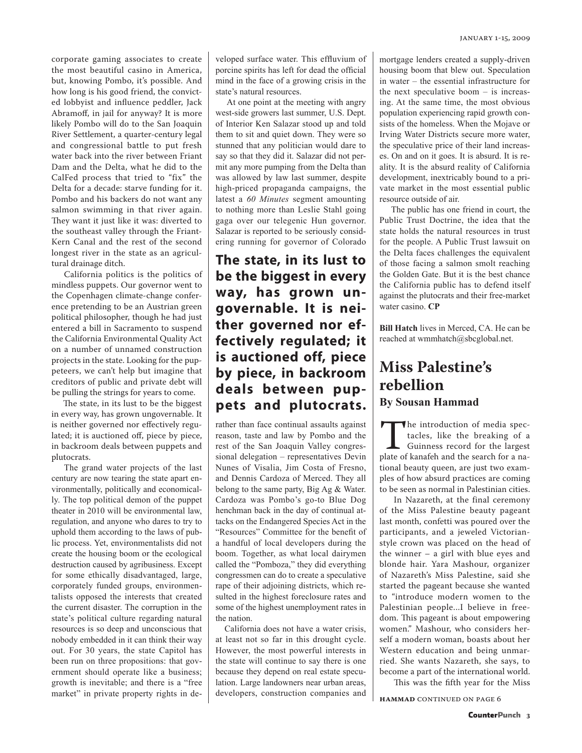corporate gaming associates to create the most beautiful casino in America, but, knowing Pombo, it's possible. And how long is his good friend, the convicted lobbyist and influence peddler, Jack Abramoff, in jail for anyway? It is more likely Pombo will do to the San Joaquin River Settlement, a quarter-century legal and congressional battle to put fresh water back into the river between Friant Dam and the Delta, what he did to the CalFed process that tried to "fix" the Delta for a decade: starve funding for it. Pombo and his backers do not want any salmon swimming in that river again. They want it just like it was: diverted to the southeast valley through the Friant-Kern Canal and the rest of the second longest river in the state as an agricultural drainage ditch.

 California politics is the politics of mindless puppets. Our governor went to the Copenhagen climate-change conference pretending to be an Austrian green political philosopher, though he had just entered a bill in Sacramento to suspend the California Environmental Quality Act on a number of unnamed construction projects in the state. Looking for the puppeteers, we can't help but imagine that creditors of public and private debt will be pulling the strings for years to come.

 The state, in its lust to be the biggest in every way, has grown ungovernable. It is neither governed nor effectively regulated; it is auctioned off, piece by piece, in backroom deals between puppets and plutocrats.

The grand water projects of the last century are now tearing the state apart environmentally, politically and economically. The top political demon of the puppet theater in 2010 will be environmental law, regulation, and anyone who dares to try to uphold them according to the laws of public process. Yet, environmentalists did not create the housing boom or the ecological destruction caused by agribusiness. Except for some ethically disadvantaged, large, corporately funded groups, environmentalists opposed the interests that created the current disaster. The corruption in the state's political culture regarding natural resources is so deep and unconscious that nobody embedded in it can think their way out. For 30 years, the state Capitol has been run on three propositions: that government should operate like a business; growth is inevitable; and there is a "free market" in private property rights in developed surface water. This effluvium of porcine spirits has left for dead the official mind in the face of a growing crisis in the state's natural resources.

At one point at the meeting with angry west-side growers last summer, U.S. Dept. of Interior Ken Salazar stood up and told them to sit and quiet down. They were so stunned that any politician would dare to say so that they did it. Salazar did not permit any more pumping from the Delta than was allowed by law last summer, despite high-priced propaganda campaigns, the latest a *60 Minutes* segment amounting to nothing more than Leslie Stahl going gaga over our telegenic Hun governor. Salazar is reported to be seriously considering running for governor of Colorado

## **The state, in its lust to be the biggest in every way, has grown ungovernable. It is neither governed nor effectively regulated; it is auctioned off, piece by piece, in backroom deals between puppets and plutocrats.**

rather than face continual assaults against reason, taste and law by Pombo and the rest of the San Joaquin Valley congressional delegation – representatives Devin Nunes of Visalia, Jim Costa of Fresno, and Dennis Cardoza of Merced. They all belong to the same party, Big Ag & Water. Cardoza was Pombo's go-to Blue Dog henchman back in the day of continual attacks on the Endangered Species Act in the "Resources" Committee for the benefit of a handful of local developers during the boom. Together, as what local dairymen called the "Pomboza," they did everything congressmen can do to create a speculative rape of their adjoining districts, which resulted in the highest foreclosure rates and some of the highest unemployment rates in the nation.

California does not have a water crisis, at least not so far in this drought cycle. However, the most powerful interests in the state will continue to say there is one because they depend on real estate speculation. Large landowners near urban areas, developers, construction companies and

mortgage lenders created a supply-driven housing boom that blew out. Speculation in water – the essential infrastructure for the next speculative boom – is increasing. At the same time, the most obvious population experiencing rapid growth consists of the homeless. When the Mojave or Irving Water Districts secure more water, the speculative price of their land increases. On and on it goes. It is absurd. It is reality. It is the absurd reality of California development, inextricably bound to a private market in the most essential public resource outside of air.

The public has one friend in court, the Public Trust Doctrine, the idea that the state holds the natural resources in trust for the people. A Public Trust lawsuit on the Delta faces challenges the equivalent of those facing a salmon smolt reaching the Golden Gate. But it is the best chance the California public has to defend itself against the plutocrats and their free-market water casino. **CP**

**Bill Hatch** lives in Merced, CA. He can be reached at wmmhatch@sbcglobal.net.

## **Miss Palestine's rebellion By Sousan Hammad**

The introduction of media spectacles, like the breaking of a Guinness record for the largest plate of kanafeh and the search for a natacles, like the breaking of a Guinness record for the largest tional beauty queen, are just two examples of how absurd practices are coming to be seen as normal in Palestinian cities.

In Nazareth, at the final ceremony of the Miss Palestine beauty pageant last month, confetti was poured over the participants, and a jeweled Victorianstyle crown was placed on the head of the winner – a girl with blue eyes and blonde hair. Yara Mashour, organizer of Nazareth's Miss Palestine, said she started the pageant because she wanted to "introduce modern women to the Palestinian people...I believe in freedom. This pageant is about empowering women." Mashour, who considers herself a modern woman, boasts about her Western education and being unmarried. She wants Nazareth, she says, to become a part of the international world.

This was the fifth year for the Miss

**HAMMAD** CONTINUED ON PAGE 6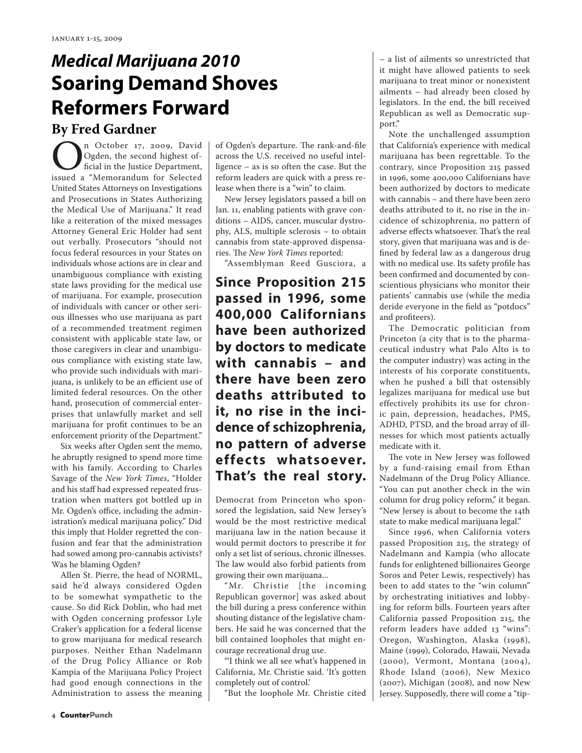# *Medical Marijuana 2010* **Soaring Demand Shoves Reformers Forward**

## **By Fred Gardner**

**OREGIST 17, 2009, David Department**, issued a "Memorandum for Selected Ogden, the second highest official in the Justice Department, United States Attorneys on Investigations and Prosecutions in States Authorizing the Medical Use of Marijuana." It read like a reiteration of the mixed messages Attorney General Eric Holder had sent out verbally. Prosecutors "should not focus federal resources in your States on individuals whose actions are in clear and unambiguous compliance with existing state laws providing for the medical use of marijuana. For example, prosecution of individuals with cancer or other serious illnesses who use marijuana as part of a recommended treatment regimen consistent with applicable state law, or those caregivers in clear and unambiguous compliance with existing state law, who provide such individuals with marijuana, is unlikely to be an efficient use of limited federal resources. On the other hand, prosecution of commercial enterprises that unlawfully market and sell marijuana for profit continues to be an enforcement priority of the Department."

Six weeks after Ogden sent the memo, he abruptly resigned to spend more time with his family. According to Charles Savage of the *New York Times*, "Holder and his staff had expressed repeated frustration when matters got bottled up in Mr. Ogden's office, including the administration's medical marijuana policy." Did this imply that Holder regretted the confusion and fear that the administration had sowed among pro-cannabis activists? Was he blaming Ogden?

Allen St. Pierre, the head of NORML, said he'd always considered Ogden to be somewhat sympathetic to the cause. So did Rick Doblin, who had met with Ogden concerning professor Lyle Craker's application for a federal license to grow marijuana for medical research purposes. Neither Ethan Nadelmann of the Drug Policy Alliance or Rob Kampia of the Marijuana Policy Project had good enough connections in the Administration to assess the meaning of Ogden's departure. The rank-and-file across the U.S. received no useful intelligence – as is so often the case. But the reform leaders are quick with a press release when there is a "win" to claim.

New Jersey legislators passed a bill on Jan. 11, enabling patients with grave conditions – AIDS, cancer, muscular dystrophy, ALS, multiple sclerosis – to obtain cannabis from state-approved dispensaries. The *New York Times* reported:

"Assemblyman Reed Gusciora, a

**Since Proposition 215 passed in 1996, some 400,000 Californians have been authorized by doctors to medicate with cannabis – and there have been zero deaths attributed to it, no rise in the incidence of schizophrenia, no pattern of adverse effec ts whatsoever. That's the real story.**

Democrat from Princeton who sponsored the legislation, said New Jersey's would be the most restrictive medical marijuana law in the nation because it would permit doctors to prescribe it for only a set list of serious, chronic illnesses. The law would also forbid patients from growing their own marijuana...

"Mr. Christie [the incoming Republican governor] was asked about the bill during a press conference within shouting distance of the legislative chambers. He said he was concerned that the bill contained loopholes that might encourage recreational drug use.

"'I think we all see what's happened in California, Mr. Christie said. 'It's gotten completely out of control.'

"But the loophole Mr. Christie cited

– a list of ailments so unrestricted that it might have allowed patients to seek marijuana to treat minor or nonexistent ailments – had already been closed by legislators. In the end, the bill received Republican as well as Democratic support."

Note the unchallenged assumption that California's experience with medical marijuana has been regrettable. To the contrary, since Proposition 215 passed in 1996, some 400,000 Californians have been authorized by doctors to medicate with cannabis – and there have been zero deaths attributed to it, no rise in the incidence of schizophrenia, no pattern of adverse effects whatsoever. That's the real story, given that marijuana was and is defined by federal law as a dangerous drug with no medical use. Its safety profile has been confirmed and documented by conscientious physicians who monitor their patients' cannabis use (while the media deride everyone in the field as "potdocs" and profiteers).

The Democratic politician from Princeton (a city that is to the pharmaceutical industry what Palo Alto is to the computer industry) was acting in the interests of his corporate constituents, when he pushed a bill that ostensibly legalizes marijuana for medical use but effectively prohibits its use for chronic pain, depression, headaches, PMS, ADHD, PTSD, and the broad array of illnesses for which most patients actually medicate with it.

The vote in New Jersey was followed by a fund-raising email from Ethan Nadelmann of the Drug Policy Alliance. "You can put another check in the win column for drug policy reform," it began. "New Jersey is about to become the 14th state to make medical marijuana legal."

Since 1996, when California voters passed Proposition 215, the strategy of Nadelmann and Kampia (who allocate funds for enlightened billionaires George Soros and Peter Lewis, respectively) has been to add states to the "win column" by orchestrating initiatives and lobbying for reform bills. Fourteen years after California passed Proposition 215, the reform leaders have added 13 "wins": Oregon, Washington, Alaska (1998), Maine (1999), Colorado, Hawaii, Nevada (2000), Vermont, Montana (2004), Rhode Island (2006), New Mexico (2007), Michigan (2008), and now New Jersey. Supposedly, there will come a "tip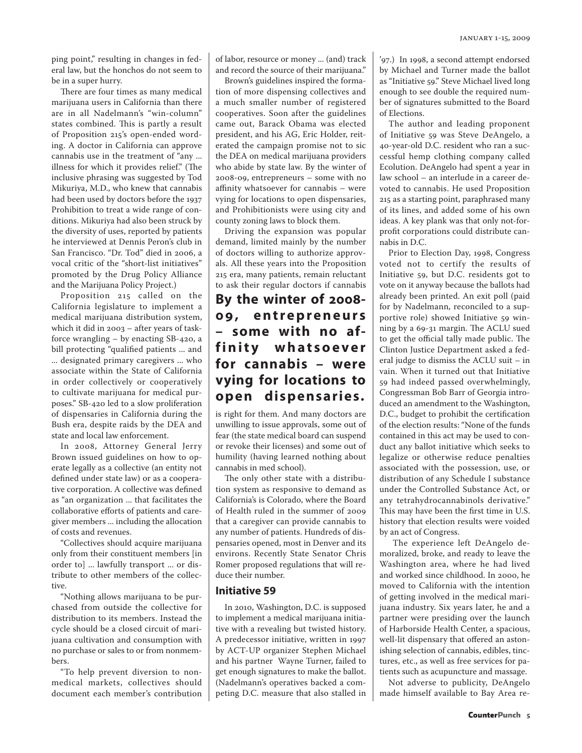ping point," resulting in changes in federal law, but the honchos do not seem to be in a super hurry.

There are four times as many medical marijuana users in California than there are in all Nadelmann's "win-column" states combined. This is partly a result of Proposition 215's open-ended wording. A doctor in California can approve cannabis use in the treatment of "any ... illness for which it provides relief." (The inclusive phrasing was suggested by Tod Mikuriya, M.D., who knew that cannabis had been used by doctors before the 1937 Prohibition to treat a wide range of conditions. Mikuriya had also been struck by the diversity of uses, reported by patients he interviewed at Dennis Peron's club in San Francisco. "Dr. Tod" died in 2006, a vocal critic of the "short-list initiatives" promoted by the Drug Policy Alliance and the Marijuana Policy Project.)

Proposition 215 called on the California legislature to implement a medical marijuana distribution system, which it did in 2003 – after years of taskforce wrangling – by enacting SB-420, a bill protecting "qualified patients ... and ... designated primary caregivers ... who associate within the State of California in order collectively or cooperatively to cultivate marijuana for medical purposes." SB-420 led to a slow proliferation of dispensaries in California during the Bush era, despite raids by the DEA and state and local law enforcement.

In 2008, Attorney General Jerry Brown issued guidelines on how to operate legally as a collective (an entity not defined under state law) or as a cooperative corporation. A collective was defined as "an organization ... that facilitates the collaborative efforts of patients and caregiver members ... including the allocation of costs and revenues.

"Collectives should acquire marijuana only from their constituent members [in order to] ... lawfully transport ... or distribute to other members of the collective.

"Nothing allows marijuana to be purchased from outside the collective for distribution to its members. Instead the cycle should be a closed circuit of marijuana cultivation and consumption with no purchase or sales to or from nonmembers.

"To help prevent diversion to nonmedical markets, collectives should document each member's contribution of labor, resource or money ... (and) track and record the source of their marijuana."

Brown's guidelines inspired the formation of more dispensing collectives and a much smaller number of registered cooperatives. Soon after the guidelines came out, Barack Obama was elected president, and his AG, Eric Holder, reiterated the campaign promise not to sic the DEA on medical marijuana providers who abide by state law. By the winter of 2008-09, entrepreneurs – some with no affinity whatsoever for cannabis – were vying for locations to open dispensaries, and Prohibitionists were using city and county zoning laws to block them.

Driving the expansion was popular demand, limited mainly by the number of doctors willing to authorize approvals. All these years into the Proposition 215 era, many patients, remain reluctant to ask their regular doctors if cannabis

## **By the winter of 2008- 0 9 , e n t r e p r e n e u r s – some with no aff i n i t y w h a t s o e v e r for cannabis – were vying for locations to open dispensaries.**

is right for them. And many doctors are unwilling to issue approvals, some out of fear (the state medical board can suspend or revoke their licenses) and some out of humility (having learned nothing about cannabis in med school).

The only other state with a distribution system as responsive to demand as California's is Colorado, where the Board of Health ruled in the summer of 2009 that a caregiver can provide cannabis to any number of patients. Hundreds of dispensaries opened, most in Denver and its environs. Recently State Senator Chris Romer proposed regulations that will reduce their number.

#### **Initiative 59**

In 2010, Washington, D.C. is supposed to implement a medical marijuana initiative with a revealing but twisted history. A predecessor initiative, written in 1997 by ACT-UP organizer Stephen Michael and his partner Wayne Turner, failed to get enough signatures to make the ballot. (Nadelmann's operatives backed a competing D.C. measure that also stalled in '97.) In 1998, a second attempt endorsed by Michael and Turner made the ballot as "Initiative 59." Steve Michael lived long enough to see double the required number of signatures submitted to the Board of Elections.

The author and leading proponent of Initiative 59 was Steve DeAngelo, a 40-year-old D.C. resident who ran a successful hemp clothing company called Ecolution. DeAngelo had spent a year in law school – an interlude in a career devoted to cannabis. He used Proposition 215 as a starting point, paraphrased many of its lines, and added some of his own ideas. A key plank was that only not-forprofit corporations could distribute cannabis in D.C.

Prior to Election Day, 1998, Congress voted not to certify the results of Initiative 59, but D.C. residents got to vote on it anyway because the ballots had already been printed. An exit poll (paid for by Nadelmann, reconciled to a supportive role) showed Initiative 59 winning by a 69-31 margin. The ACLU sued to get the official tally made public. The Clinton Justice Department asked a federal judge to dismiss the ACLU suit – in vain. When it turned out that Initiative 59 had indeed passed overwhelmingly, Congressman Bob Barr of Georgia introduced an amendment to the Washington, D.C., budget to prohibit the certification of the election results: "None of the funds contained in this act may be used to conduct any ballot initiative which seeks to legalize or otherwise reduce penalties associated with the possession, use, or distribution of any Schedule I substance under the Controlled Substance Act, or any tetrahydrocannabinols derivative." This may have been the first time in U.S. history that election results were voided by an act of Congress.

 The experience left DeAngelo demoralized, broke, and ready to leave the Washington area, where he had lived and worked since childhood. In 2000, he moved to California with the intention of getting involved in the medical marijuana industry. Six years later, he and a partner were presiding over the launch of Harborside Health Center, a spacious, well-lit dispensary that offered an astonishing selection of cannabis, edibles, tinctures, etc., as well as free services for patients such as acupuncture and massage.

Not adverse to publicity, DeAngelo made himself available to Bay Area re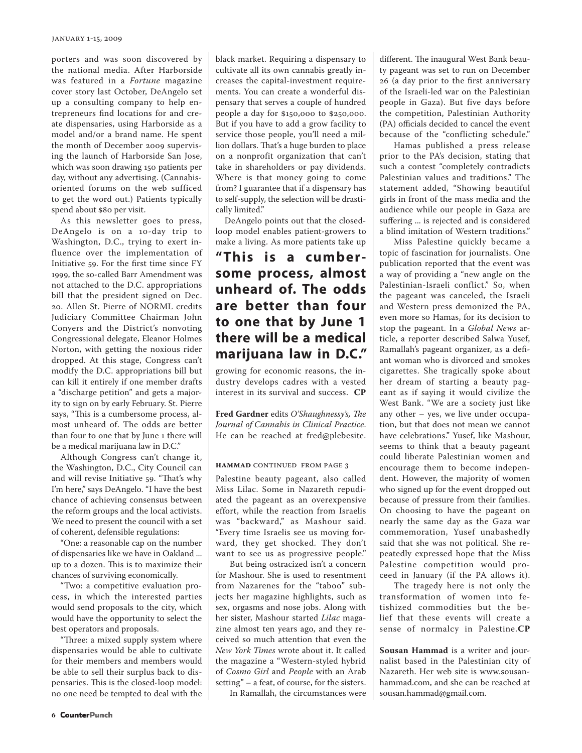porters and was soon discovered by the national media. After Harborside was featured in a *Fortune* magazine cover story last October, DeAngelo set up a consulting company to help entrepreneurs find locations for and create dispensaries, using Harborside as a model and/or a brand name. He spent the month of December 2009 supervising the launch of Harborside San Jose, which was soon drawing 150 patients per day, without any advertising. (Cannabisoriented forums on the web sufficed to get the word out.) Patients typically spend about \$80 per visit.

As this newsletter goes to press, DeAngelo is on a 10-day trip to Washington, D.C., trying to exert influence over the implementation of Initiative 59. For the first time since FY 1999, the so-called Barr Amendment was not attached to the D.C. appropriations bill that the president signed on Dec. 20. Allen St. Pierre of NORML credits Judiciary Committee Chairman John Conyers and the District's nonvoting Congressional delegate, Eleanor Holmes Norton, with getting the noxious rider dropped. At this stage, Congress can't modify the D.C. appropriations bill but can kill it entirely if one member drafts a "discharge petition" and gets a majority to sign on by early February. St. Pierre says, "This is a cumbersome process, almost unheard of. The odds are better than four to one that by June 1 there will be a medical marijuana law in D.C."

Although Congress can't change it, the Washington, D.C., City Council can and will revise Initiative 59. "That's why I'm here," says DeAngelo. "I have the best chance of achieving consensus between the reform groups and the local activists. We need to present the council with a set of coherent, defensible regulations:

"One: a reasonable cap on the number of dispensaries like we have in Oakland ... up to a dozen. This is to maximize their chances of surviving economically.

"Two: a competitive evaluation process, in which the interested parties would send proposals to the city, which would have the opportunity to select the best operators and proposals.

"Three: a mixed supply system where dispensaries would be able to cultivate for their members and members would be able to sell their surplus back to dispensaries. This is the closed-loop model: no one need be tempted to deal with the black market. Requiring a dispensary to cultivate all its own cannabis greatly increases the capital-investment requirements. You can create a wonderful dispensary that serves a couple of hundred people a day for \$150,000 to \$250,000. But if you have to add a grow facility to service those people, you'll need a million dollars. That's a huge burden to place on a nonprofit organization that can't take in shareholders or pay dividends. Where is that money going to come from? I guarantee that if a dispensary has to self-supply, the selection will be drastically limited."

DeAngelo points out that the closedloop model enables patient-growers to make a living. As more patients take up

## **" This is a cumbersome process, almost unheard of. The odds are better than four to one that by June 1 there will be a medical marijuana law in D.C."**

growing for economic reasons, the industry develops cadres with a vested interest in its survival and success. **CP**

**Fred Gardner** edits *O'Shaughnessy's, The Journal of Cannabis in Clinical Practice*. He can be reached at fred@plebesite.

#### **HAMMAD** CONTINUED FROM PAGE 3

Palestine beauty pageant, also called Miss Lilac. Some in Nazareth repudiated the pageant as an overexpensive effort, while the reaction from Israelis was "backward," as Mashour said. "Every time Israelis see us moving forward, they get shocked. They don't want to see us as progressive people."

But being ostracized isn't a concern for Mashour. She is used to resentment from Nazarenes for the "taboo" subjects her magazine highlights, such as sex, orgasms and nose jobs. Along with her sister, Mashour started *Lilac* magazine almost ten years ago, and they received so much attention that even the *New York Times* wrote about it. It called the magazine a "Western-styled hybrid of *Cosmo Girl* and *People* with an Arab setting" – a feat, of course, for the sisters.

In Ramallah, the circumstances were

different. The inaugural West Bank beauty pageant was set to run on December 26 (a day prior to the first anniversary of the Israeli-led war on the Palestinian people in Gaza). But five days before the competition, Palestinian Authority (PA) officials decided to cancel the event because of the "conflicting schedule."

Hamas published a press release prior to the PA's decision, stating that such a contest "completely contradicts Palestinian values and traditions." The statement added, "Showing beautiful girls in front of the mass media and the audience while our people in Gaza are suffering ... is rejected and is considered a blind imitation of Western traditions."

Miss Palestine quickly became a topic of fascination for journalists. One publication reported that the event was a way of providing a "new angle on the Palestinian-Israeli conflict." So, when the pageant was canceled, the Israeli and Western press demonized the PA, even more so Hamas, for its decision to stop the pageant. In a *Global News* article, a reporter described Salwa Yusef, Ramallah's pageant organizer, as a defiant woman who is divorced and smokes cigarettes. She tragically spoke about her dream of starting a beauty pageant as if saying it would civilize the West Bank. "We are a society just like any other – yes, we live under occupation, but that does not mean we cannot have celebrations." Yusef, like Mashour, seems to think that a beauty pageant could liberate Palestinian women and encourage them to become independent. However, the majority of women who signed up for the event dropped out because of pressure from their families. On choosing to have the pageant on nearly the same day as the Gaza war commemoration, Yusef unabashedly said that she was not political. She repeatedly expressed hope that the Miss Palestine competition would proceed in January (if the PA allows it).

The tragedy here is not only the transformation of women into fetishized commodities but the belief that these events will create a sense of normalcy in Palestine.**CP**

**Sousan Hammad** is a writer and journalist based in the Palestinian city of Nazareth. Her web site is www.sousanhammad.com, and she can be reached at sousan.hammad@gmail.com.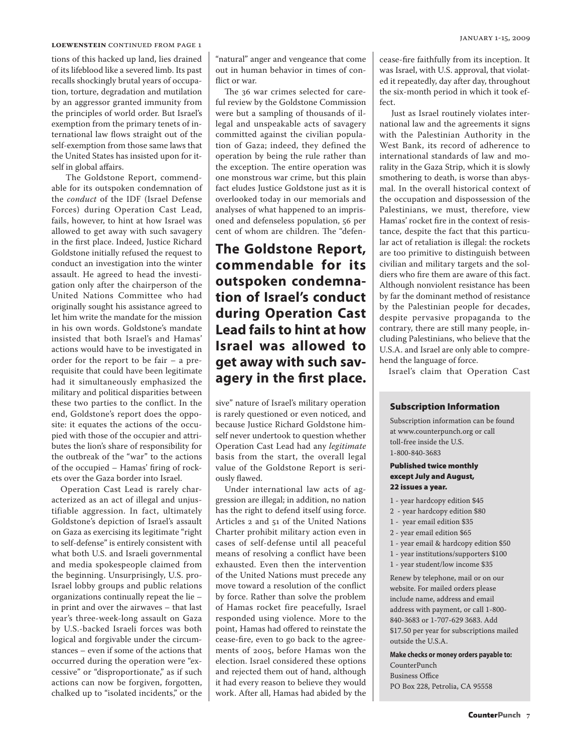#### **LOEWENSTEIN CONTINUED FROM PAGE 1**

tions of this hacked up land, lies drained of its lifeblood like a severed limb. Its past recalls shockingly brutal years of occupation, torture, degradation and mutilation by an aggressor granted immunity from the principles of world order. But Israel's exemption from the primary tenets of international law flows straight out of the self-exemption from those same laws that the United States has insisted upon for itself in global affairs.

The Goldstone Report, commendable for its outspoken condemnation of the *conduct* of the IDF (Israel Defense Forces) during Operation Cast Lead, fails, however, to hint at how Israel was allowed to get away with such savagery in the first place. Indeed, Justice Richard Goldstone initially refused the request to conduct an investigation into the winter assault. He agreed to head the investigation only after the chairperson of the United Nations Committee who had originally sought his assistance agreed to let him write the mandate for the mission in his own words. Goldstone's mandate insisted that both Israel's and Hamas' actions would have to be investigated in order for the report to be fair – a prerequisite that could have been legitimate had it simultaneously emphasized the military and political disparities between these two parties to the conflict. In the end, Goldstone's report does the opposite: it equates the actions of the occupied with those of the occupier and attributes the lion's share of responsibility for the outbreak of the "war" to the actions of the occupied – Hamas' firing of rockets over the Gaza border into Israel.

Operation Cast Lead is rarely characterized as an act of illegal and unjustifiable aggression. In fact, ultimately Goldstone's depiction of Israel's assault on Gaza as exercising its legitimate "right to self-defense" is entirely consistent with what both U.S. and Israeli governmental and media spokespeople claimed from the beginning. Unsurprisingly, U.S. pro-Israel lobby groups and public relations organizations continually repeat the lie – in print and over the airwaves – that last year's three-week-long assault on Gaza by U.S.-backed Israeli forces was both logical and forgivable under the circumstances – even if some of the actions that occurred during the operation were "excessive" or "disproportionate," as if such actions can now be forgiven, forgotten, chalked up to "isolated incidents," or the

"natural" anger and vengeance that come out in human behavior in times of conflict or war.

The 36 war crimes selected for careful review by the Goldstone Commission were but a sampling of thousands of illegal and unspeakable acts of savagery committed against the civilian population of Gaza; indeed, they defined the operation by being the rule rather than the exception. The entire operation was one monstrous war crime, but this plain fact eludes Justice Goldstone just as it is overlooked today in our memorials and analyses of what happened to an imprisoned and defenseless population, 56 per cent of whom are children. The "defen-

## **The Goldstone Report, commendable for its outspoken condemnation of Israel's conduct during Operation Cast Lead fails to hint at how Israel was allowed to get away with such savagery in the first place.**

sive" nature of Israel's military operation is rarely questioned or even noticed, and because Justice Richard Goldstone himself never undertook to question whether Operation Cast Lead had any *legitimate*  basis from the start, the overall legal value of the Goldstone Report is seriously flawed.

Under international law acts of aggression are illegal; in addition, no nation has the right to defend itself using force. Articles 2 and 51 of the United Nations Charter prohibit military action even in cases of self-defense until all peaceful means of resolving a conflict have been exhausted. Even then the intervention of the United Nations must precede any move toward a resolution of the conflict by force. Rather than solve the problem of Hamas rocket fire peacefully, Israel responded using violence. More to the point, Hamas had offered to reinstate the cease-fire, even to go back to the agreements of 2005, before Hamas won the election. Israel considered these options and rejected them out of hand, although it had every reason to believe they would work. After all, Hamas had abided by the cease-fire faithfully from its inception. It was Israel, with U.S. approval, that violated it repeatedly, day after day, throughout the six-month period in which it took effect.

 Just as Israel routinely violates international law and the agreements it signs with the Palestinian Authority in the West Bank, its record of adherence to international standards of law and morality in the Gaza Strip, which it is slowly smothering to death, is worse than abysmal. In the overall historical context of the occupation and dispossession of the Palestinians, we must, therefore, view Hamas' rocket fire in the context of resistance, despite the fact that this particular act of retaliation is illegal: the rockets are too primitive to distinguish between civilian and military targets and the soldiers who fire them are aware of this fact. Although nonviolent resistance has been by far the dominant method of resistance by the Palestinian people for decades, despite pervasive propaganda to the contrary, there are still many people, including Palestinians, who believe that the U.S.A. and Israel are only able to comprehend the language of force.

Israel's claim that Operation Cast

#### Subscription Information

Subscription information can be found at www.counterpunch.org or call toll-free inside the U.S. 1-800-840-3683

#### Published twice monthly except July and August, 22 issues a year.

- 1 year hardcopy edition \$45
- 2 year hardcopy edition \$80
- 1 year email edition \$35
- 2 year email edition \$65
- 1 year email & hardcopy edition \$50
- 1 year institutions/supporters \$100
- 1 year student/low income \$35

Renew by telephone, mail or on our website. For mailed orders please include name, address and email address with payment, or call 1-800- 840-3683 or 1-707-629 3683. Add \$17.50 per year for subscriptions mailed outside the U.S.A.

**Make checks or money orders payable to:** 

CounterPunch Business Office PO Box 228, Petrolia, CA 95558